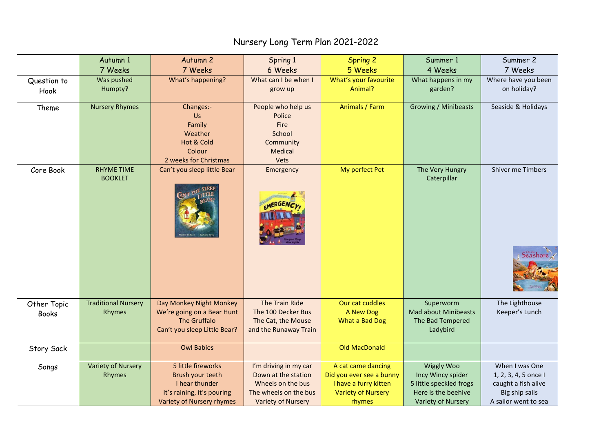|              | Autumn 1                            | Autumn <sub>2</sub>                          | Spring 1                                    | <b>Spring 2</b>           | Summer 1                       | Summer 2             |
|--------------|-------------------------------------|----------------------------------------------|---------------------------------------------|---------------------------|--------------------------------|----------------------|
|              | 7 Weeks                             | 7 Weeks                                      | 6 Weeks                                     | 5 Weeks                   | 4 Weeks                        | 7 Weeks              |
| Question to  | Was pushed                          | What's happening?                            | What can I be when I                        | What's your favourite     | What happens in my             | Where have you been  |
| Hook         | Humpty?                             |                                              | grow up                                     | Animal?                   | garden?                        | on holiday?          |
| Theme        | <b>Nursery Rhymes</b>               | Changes:-                                    | People who help us                          | Animals / Farm            | Growing / Minibeasts           | Seaside & Holidays   |
|              |                                     | Us<br>Family                                 | Police<br>Fire                              |                           |                                |                      |
|              |                                     | Weather                                      | School                                      |                           |                                |                      |
|              |                                     | Hot & Cold                                   | Community                                   |                           |                                |                      |
|              |                                     | Colour                                       | <b>Medical</b>                              |                           |                                |                      |
|              |                                     | 2 weeks for Christmas                        | Vets                                        |                           |                                |                      |
| Core Book    | <b>RHYME TIME</b><br><b>BOOKLET</b> | Can't you sleep little Bear                  | Emergency                                   | My perfect Pet            | The Very Hungry<br>Caterpillar | Shiver me Timbers    |
|              |                                     |                                              | MERGEN                                      |                           |                                |                      |
|              |                                     |                                              |                                             |                           |                                | deashor              |
| Other Topic  | <b>Traditional Nursery</b>          | Day Monkey Night Monkey                      | The Train Ride                              | Our cat cuddles           | Superworm                      | The Lighthouse       |
| <b>Books</b> | Rhymes                              | We're going on a Bear Hunt                   | The 100 Decker Bus                          | A New Dog                 | <b>Mad about Minibeasts</b>    | Keeper's Lunch       |
|              |                                     | The Gruffalo<br>Can't you sleep Little Bear? | The Cat, the Mouse<br>and the Runaway Train | What a Bad Dog            | The Bad Tempered<br>Ladybird   |                      |
| Story Sack   |                                     | <b>Owl Babies</b>                            |                                             | <b>Old MacDonald</b>      |                                |                      |
| Songs        | <b>Variety of Nursery</b>           | 5 little fireworks                           | I'm driving in my car                       | A cat came dancing        | <b>Wiggly Woo</b>              | When I was One       |
|              | Rhymes                              | Brush your teeth                             | Down at the station                         | Did you ever see a bunny  | Incy Wincy spider              | 1, 2, 3, 4, 5 once l |
|              |                                     | I hear thunder                               | Wheels on the bus                           | I have a furry kitten     | 5 little speckled frogs        | caught a fish alive  |
|              |                                     | It's raining, it's pouring                   | The wheels on the bus                       | <b>Variety of Nursery</b> | Here is the beehive            | Big ship sails       |
|              |                                     | Variety of Nursery rhymes                    | <b>Variety of Nursery</b>                   | rhymes                    | Variety of Nursery             | A sailor went to sea |

## Nursery Long Term Plan 2021-2022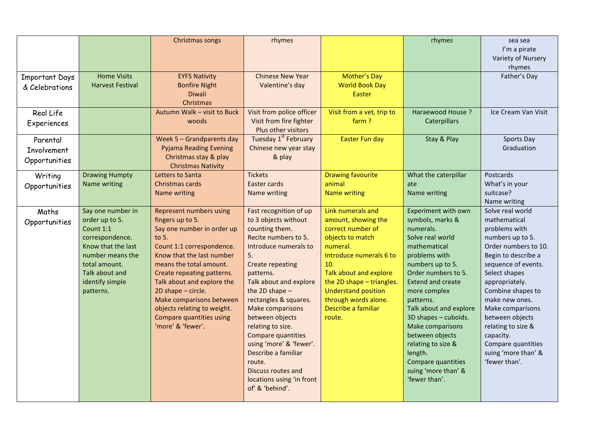|                                                 |                                                                                                                                                                                  | Christmas songs                                                                                                                                                                                                                                                                                                                                                              | rhymes                                                                                                                                                                                                                                                                                                                                                                                                                                                     |                                                                                                                                                                                                                                                                               | rhymes                                                                                                                                                                                                                                                                                                                                                                                                | sea sea<br>I'm a pirate<br>Variety of Nursery                                                                                                                                                                                                                                                                                                                 |
|-------------------------------------------------|----------------------------------------------------------------------------------------------------------------------------------------------------------------------------------|------------------------------------------------------------------------------------------------------------------------------------------------------------------------------------------------------------------------------------------------------------------------------------------------------------------------------------------------------------------------------|------------------------------------------------------------------------------------------------------------------------------------------------------------------------------------------------------------------------------------------------------------------------------------------------------------------------------------------------------------------------------------------------------------------------------------------------------------|-------------------------------------------------------------------------------------------------------------------------------------------------------------------------------------------------------------------------------------------------------------------------------|-------------------------------------------------------------------------------------------------------------------------------------------------------------------------------------------------------------------------------------------------------------------------------------------------------------------------------------------------------------------------------------------------------|---------------------------------------------------------------------------------------------------------------------------------------------------------------------------------------------------------------------------------------------------------------------------------------------------------------------------------------------------------------|
| <b>Important Days</b><br>& Celebrations         | <b>Home Visits</b><br><b>Harvest Festival</b>                                                                                                                                    | <b>EYFS Nativity</b><br><b>Bonfire Night</b><br><b>Diwali</b><br>Christmas                                                                                                                                                                                                                                                                                                   | <b>Chinese New Year</b><br>Valentine's day                                                                                                                                                                                                                                                                                                                                                                                                                 | <b>Mother's Day</b><br><b>World Book Day</b><br>Easter                                                                                                                                                                                                                        |                                                                                                                                                                                                                                                                                                                                                                                                       | rhymes<br>Father's Day                                                                                                                                                                                                                                                                                                                                        |
| Real Life<br>Experiences                        |                                                                                                                                                                                  | Autumn Walk - visit to Buck<br>woods                                                                                                                                                                                                                                                                                                                                         | Visit from police officer<br>Visit from fire fighter<br>Plus other visitors                                                                                                                                                                                                                                                                                                                                                                                | Visit from a vet, trip to<br>farm?                                                                                                                                                                                                                                            | Haraewood House?<br>Caterpillars                                                                                                                                                                                                                                                                                                                                                                      | Ice Cream Van Visit                                                                                                                                                                                                                                                                                                                                           |
| Parental<br><b>Involvement</b><br>Opportunities |                                                                                                                                                                                  | Week 5 - Grandparents day<br><b>Pyjama Reading Evening</b><br>Christmas stay & play<br><b>Christmas Nativity</b>                                                                                                                                                                                                                                                             | Tuesday 1 <sup>st</sup> February<br>Chinese new year stay<br>& play                                                                                                                                                                                                                                                                                                                                                                                        | <b>Easter Fun day</b>                                                                                                                                                                                                                                                         | Stay & Play                                                                                                                                                                                                                                                                                                                                                                                           | Sports Day<br>Graduation                                                                                                                                                                                                                                                                                                                                      |
| Writing<br>Opportunities                        | <b>Drawing Humpty</b><br>Name writing                                                                                                                                            | Letters to Santa<br>Christmas cards<br>Name writing                                                                                                                                                                                                                                                                                                                          | <b>Tickets</b><br>Easter cards<br>Name writing                                                                                                                                                                                                                                                                                                                                                                                                             | <b>Drawing favourite</b><br>animal<br><b>Name writing</b>                                                                                                                                                                                                                     | What the caterpillar<br>ate<br>Name writing                                                                                                                                                                                                                                                                                                                                                           | <b>Postcards</b><br>What's in your<br>suitcase?<br>Name writing                                                                                                                                                                                                                                                                                               |
| Maths<br>Opportunities                          | Say one number in<br>order up to 5.<br>Count 1:1<br>correspondence.<br>Know that the last<br>number means the<br>total amount.<br>Talk about and<br>identify simple<br>patterns. | <b>Represent numbers using</b><br>fingers up to 5.<br>Say one number in order up<br>to 5.<br>Count 1:1 correspondence.<br>Know that the last number<br>means the total amount.<br>Create repeating patterns.<br>Talk about and explore the<br>2D shape - circle.<br>Make comparisons between<br>objects relating to weight.<br>Compare quantities using<br>'more' & 'fewer'. | Fast recognition of up<br>to 3 objects without<br>counting them.<br>Recite numbers to 5.<br>Introduce numerals to<br>5.<br><b>Create repeating</b><br>patterns.<br>Talk about and explore<br>the 2D shape $-$<br>rectangles & squares.<br>Make comparisons<br>between objects<br>relating to size.<br>Compare quantities<br>using 'more' & 'fewer'.<br>Describe a familiar<br>route.<br>Discuss routes and<br>locations using 'in front<br>of' & 'behind'. | Link numerals and<br>amount, showing the<br>correct number of<br>objects to match<br>numeral.<br>Introduce numerals 6 to<br>10.<br>Talk about and explore<br>the 2D shape - triangles.<br><b>Understand position</b><br>through words alone.<br>Describe a familiar<br>route. | Experiment with own<br>symbols, marks &<br>numerals.<br>Solve real world<br>mathematical<br>problems with<br>numbers up to 5.<br>Order numbers to 5.<br><b>Extend and create</b><br>more complex<br>patterns.<br>Talk about and explore<br>3D shapes - cuboids.<br>Make comparisons<br>between objects<br>relating to size &<br>length.<br>Compare quantities<br>suing 'more than' &<br>'fewer than'. | Solve real world<br>mathematical<br>problems with<br>numbers up to 5.<br>Order numbers to 10.<br>Begin to describe a<br>sequence of events.<br>Select shapes<br>appropriately.<br>Combine shapes to<br>make new ones.<br>Make comparisons<br>between objects<br>relating to size &<br>capacity.<br>Compare quantities<br>suing 'more than' &<br>'fewer than'. |